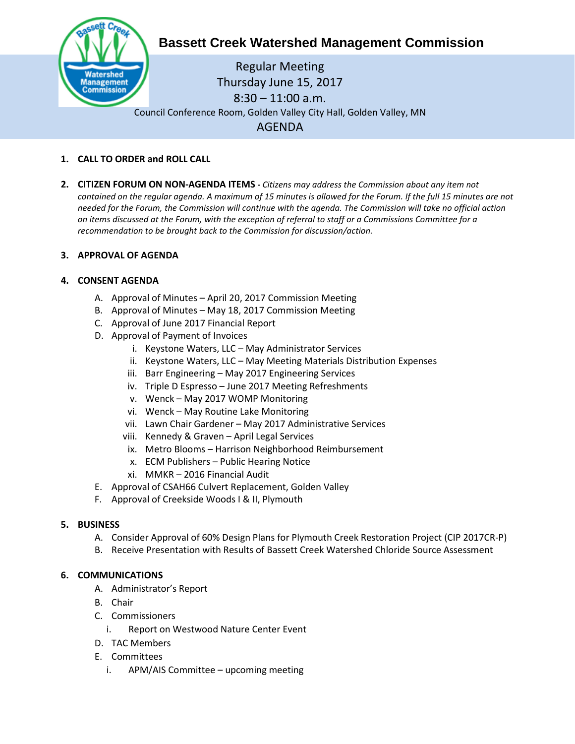

# **Bassett Creek Watershed Management Commission**

Regular Meeting Thursday June 15, 2017 8:30 – 11:00 a.m. Council Conference Room, Golden Valley City Hall, Golden Valley, MN AGENDA

## **1. CALL TO ORDER and ROLL CALL**

**2. CITIZEN FORUM ON NON-AGENDA ITEMS -** *Citizens may address the Commission about any item not contained on the regular agenda. A maximum of 15 minutes is allowed for the Forum. If the full 15 minutes are not needed for the Forum, the Commission will continue with the agenda. The Commission will take no official action on items discussed at the Forum, with the exception of referral to staff or a Commissions Committee for a recommendation to be brought back to the Commission for discussion/action.*

## **3. APPROVAL OF AGENDA**

## **4. CONSENT AGENDA**

- A. Approval of Minutes April 20, 2017 Commission Meeting
- B. Approval of Minutes May 18, 2017 Commission Meeting
- C. Approval of June 2017 Financial Report
- D. Approval of Payment of Invoices
	- i. Keystone Waters, LLC May Administrator Services
	- ii. Keystone Waters, LLC May Meeting Materials Distribution Expenses
	- iii. Barr Engineering May 2017 Engineering Services
	- iv. Triple D Espresso June 2017 Meeting Refreshments
	- v. Wenck May 2017 WOMP Monitoring
	- vi. Wenck May Routine Lake Monitoring
	- vii. Lawn Chair Gardener May 2017 Administrative Services
	- viii. Kennedy & Graven April Legal Services
	- ix. Metro Blooms Harrison Neighborhood Reimbursement
	- x. ECM Publishers Public Hearing Notice
	- xi. MMKR 2016 Financial Audit
- E. Approval of CSAH66 Culvert Replacement, Golden Valley
- F. Approval of Creekside Woods I & II, Plymouth

#### **5. BUSINESS**

- A. Consider Approval of 60% Design Plans for Plymouth Creek Restoration Project (CIP 2017CR-P)
- B. Receive Presentation with Results of Bassett Creek Watershed Chloride Source Assessment

#### **6. COMMUNICATIONS**

- A. Administrator's Report
- B. Chair
- C. Commissioners
	- i. Report on Westwood Nature Center Event
- D. TAC Members
- E. Committees
	- i. APM/AIS Committee upcoming meeting